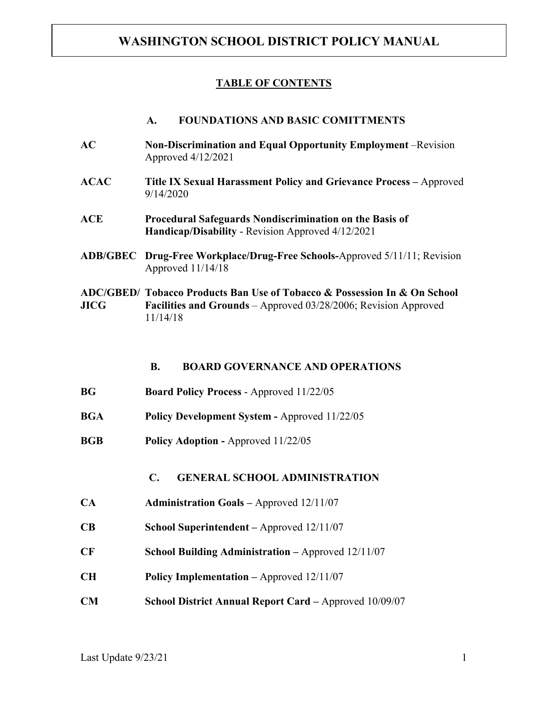### **TABLE OF CONTENTS**

#### **A. FOUNDATIONS AND BASIC COMITTMENTS**

- **AC Non-Discrimination and Equal Opportunity Employment** –Revision Approved 4/12/2021
- **ACAC Title IX Sexual Harassment Policy and Grievance Process –** Approved 9/14/2020
- **ACE Procedural Safeguards Nondiscrimination on the Basis of Handicap/Disability** - Revision Approved 4/12/2021
- **ADB/GBEC Drug-Free Workplace/Drug-Free Schools-**Approved 5/11/11; Revision Approved 11/14/18
- **ADC/GBED/ Tobacco Products Ban Use of Tobacco & Possession In & On School JICG Facilities and Grounds** – Approved 03/28/2006; Revision Approved 11/14/18

**B. BOARD GOVERNANCE AND OPERATIONS**

- **BG Board Policy Process** Approved 11/22/05
- **BGA Policy Development System -** Approved 11/22/05
- **BGB Policy Adoption -** Approved 11/22/05

**C. GENERAL SCHOOL ADMINISTRATION**

- **CA Administration Goals –** Approved 12/11/07
- **CB School Superintendent –** Approved 12/11/07
- **CF School Building Administration –** Approved 12/11/07
- **CH Policy Implementation –** Approved 12/11/07
- **CM School District Annual Report Card –** Approved 10/09/07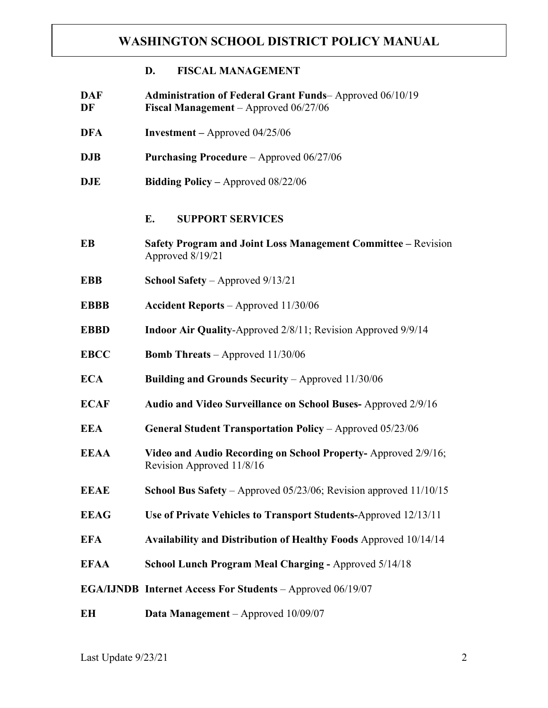### **D. FISCAL MANAGEMENT**

- **DAF Administration of Federal Grant Funds** Approved 06/10/19 **DF Fiscal Management** – Approved 06/27/06
- **DFA** Investment Approved 04/25/06
- **DJB Purchasing Procedure** Approved 06/27/06
- **DJE Bidding Policy –** Approved 08/22/06

#### **E. SUPPORT SERVICES**

- **EB Safety Program and Joint Loss Management Committee –** Revision Approved 8/19/21
- **EBB School Safety** Approved 9/13/21
- **EBBB Accident Reports** Approved 11/30/06
- **EBBD** Indoor Air Quality-Approved 2/8/11; Revision Approved 9/9/14
- **EBCC Bomb Threats**  Approved 11/30/06
- **ECA Building and Grounds Security Approved 11/30/06**
- **ECAF Audio and Video Surveillance on School Buses-** Approved 2/9/16
- **EEA General Student Transportation Policy** Approved 05/23/06
- **EEAA Video and Audio Recording on School Property-** Approved 2/9/16; Revision Approved 11/8/16
- **EEAE School Bus Safety** Approved 05/23/06; Revision approved 11/10/15
- **EEAG Use of Private Vehicles to Transport Students-**Approved 12/13/11
- **EFA Availability and Distribution of Healthy Foods** Approved 10/14/14
- **EFAA School Lunch Program Meal Charging -** Approved 5/14/18
- **EGA/IJNDB Internet Access For Students**  Approved 06/19/07
- **EH Data Management** Approved 10/09/07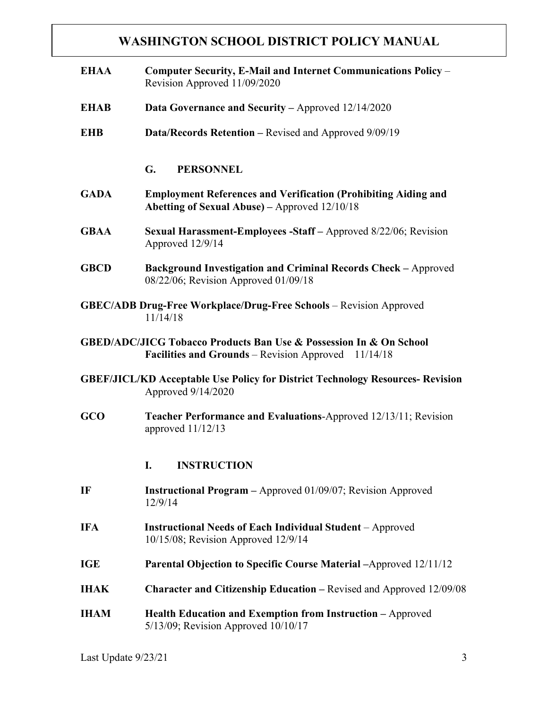| <b>EHAA</b> | Computer Security, E-Mail and Internet Communications Policy -<br>Revision Approved 11/09/2020                                           |
|-------------|------------------------------------------------------------------------------------------------------------------------------------------|
| <b>EHAB</b> | <b>Data Governance and Security – Approved 12/14/2020</b>                                                                                |
| <b>EHB</b>  | <b>Data/Records Retention – Revised and Approved 9/09/19</b>                                                                             |
|             | G.<br><b>PERSONNEL</b>                                                                                                                   |
| <b>GADA</b> | <b>Employment References and Verification (Prohibiting Aiding and</b><br>Abetting of Sexual Abuse) – Approved 12/10/18                   |
| <b>GBAA</b> | <b>Sexual Harassment-Employees -Staff</b> – Approved 8/22/06; Revision<br>Approved 12/9/14                                               |
| <b>GBCD</b> | Background Investigation and Criminal Records Check - Approved<br>08/22/06; Revision Approved 01/09/18                                   |
|             | <b>GBEC/ADB Drug-Free Workplace/Drug-Free Schools</b> – Revision Approved<br>11/14/18                                                    |
|             | <b>GBED/ADC/JICG Tobacco Products Ban Use &amp; Possession In &amp; On School</b><br>Facilities and Grounds - Revision Approved 11/14/18 |
|             | <b>GBEF/JICL/KD Acceptable Use Policy for District Technology Resources- Revision</b><br>Approved 9/14/2020                              |
| GCO         | <b>Teacher Performance and Evaluations-Approved 12/13/11; Revision</b><br>approved 11/12/13                                              |
|             | I.<br><b>INSTRUCTION</b>                                                                                                                 |
| IF          | <b>Instructional Program - Approved 01/09/07; Revision Approved</b><br>12/9/14                                                           |
| <b>IFA</b>  | <b>Instructional Needs of Each Individual Student</b> – Approved<br>10/15/08; Revision Approved 12/9/14                                  |
| <b>IGE</b>  | <b>Parental Objection to Specific Course Material -Approved 12/11/12</b>                                                                 |
| <b>IHAK</b> | <b>Character and Citizenship Education – Revised and Approved 12/09/08</b>                                                               |
| <b>IHAM</b> | Health Education and Exemption from Instruction - Approved<br>$5/13/09$ ; Revision Approved $10/10/17$                                   |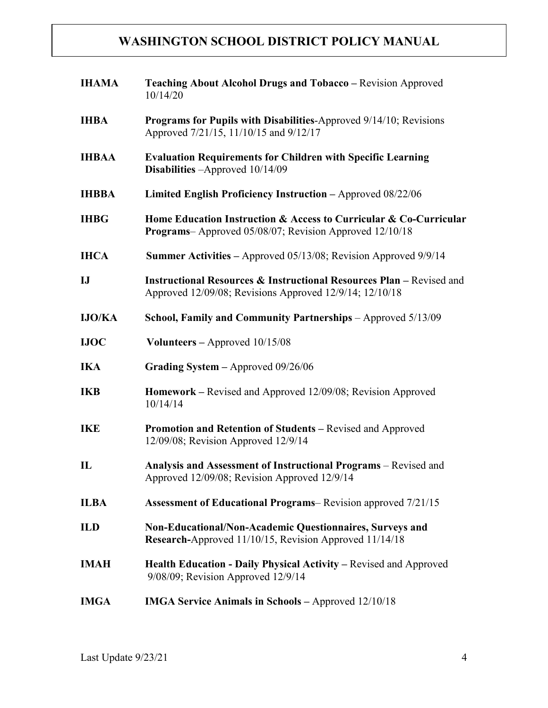| <b>IHAMA</b>  | <b>Teaching About Alcohol Drugs and Tobacco – Revision Approved</b><br>10/14/20                                                            |
|---------------|--------------------------------------------------------------------------------------------------------------------------------------------|
| <b>IHBA</b>   | <b>Programs for Pupils with Disabilities-Approved 9/14/10; Revisions</b><br>Approved 7/21/15, 11/10/15 and 9/12/17                         |
| <b>IHBAA</b>  | <b>Evaluation Requirements for Children with Specific Learning</b><br>Disabilities - Approved 10/14/09                                     |
| <b>IHBBA</b>  | Limited English Proficiency Instruction - Approved 08/22/06                                                                                |
| <b>IHBG</b>   | Home Education Instruction & Access to Curricular & Co-Curricular<br><b>Programs</b> -Approved 05/08/07; Revision Approved 12/10/18        |
| <b>IHCA</b>   | <b>Summer Activities – Approved 05/13/08; Revision Approved 9/9/14</b>                                                                     |
| $\mathbf{I}$  | <b>Instructional Resources &amp; Instructional Resources Plan – Revised and</b><br>Approved 12/09/08; Revisions Approved 12/9/14; 12/10/18 |
| <b>IJO/KA</b> | School, Family and Community Partnerships - Approved 5/13/09                                                                               |
| <b>IJOC</b>   | Volunteers $-$ Approved $10/15/08$                                                                                                         |
| <b>IKA</b>    | Grading System $-$ Approved 09/26/06                                                                                                       |
| <b>IKB</b>    | Homework – Revised and Approved 12/09/08; Revision Approved<br>10/14/14                                                                    |
| <b>IKE</b>    | Promotion and Retention of Students - Revised and Approved<br>12/09/08; Revision Approved 12/9/14                                          |
| $\mathbf{L}$  | Analysis and Assessment of Instructional Programs - Revised and<br>Approved 12/09/08; Revision Approved 12/9/14                            |
| <b>ILBA</b>   | <b>Assessment of Educational Programs– Revision approved 7/21/15</b>                                                                       |
| <b>ILD</b>    | Non-Educational/Non-Academic Questionnaires, Surveys and<br>Research-Approved 11/10/15, Revision Approved 11/14/18                         |
| <b>IMAH</b>   | Health Education - Daily Physical Activity – Revised and Approved<br>9/08/09; Revision Approved 12/9/14                                    |
| <b>IMGA</b>   | <b>IMGA Service Animals in Schools – Approved 12/10/18</b>                                                                                 |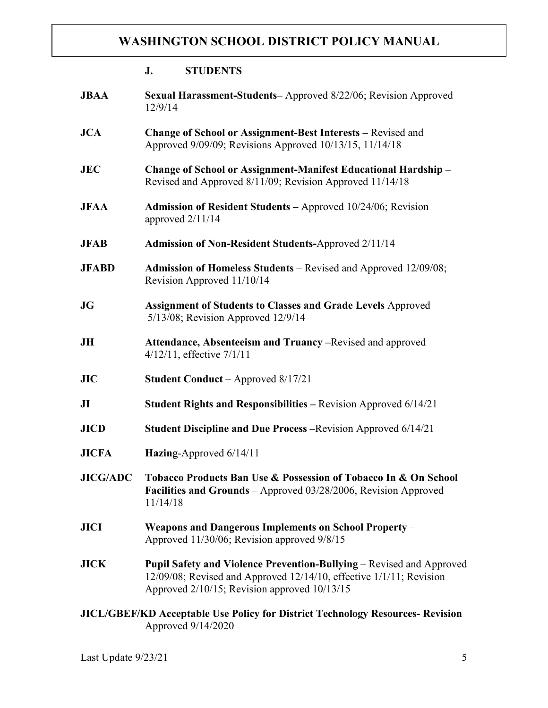|                                                                                       | <b>STUDENTS</b><br>J.                                                                                                                                                                       |  |
|---------------------------------------------------------------------------------------|---------------------------------------------------------------------------------------------------------------------------------------------------------------------------------------------|--|
| <b>JBAA</b>                                                                           | Sexual Harassment-Students-Approved 8/22/06; Revision Approved<br>12/9/14                                                                                                                   |  |
| <b>JCA</b>                                                                            | Change of School or Assignment-Best Interests - Revised and<br>Approved 9/09/09; Revisions Approved 10/13/15, 11/14/18                                                                      |  |
| <b>JEC</b>                                                                            | Change of School or Assignment-Manifest Educational Hardship -<br>Revised and Approved 8/11/09; Revision Approved 11/14/18                                                                  |  |
| <b>JFAA</b>                                                                           | <b>Admission of Resident Students – Approved 10/24/06; Revision</b><br>approved $2/11/14$                                                                                                   |  |
| <b>JFAB</b>                                                                           | <b>Admission of Non-Resident Students-Approved 2/11/14</b>                                                                                                                                  |  |
| <b>JFABD</b>                                                                          | Admission of Homeless Students - Revised and Approved 12/09/08;<br>Revision Approved 11/10/14                                                                                               |  |
| JG                                                                                    | <b>Assignment of Students to Classes and Grade Levels Approved</b><br>5/13/08; Revision Approved 12/9/14                                                                                    |  |
| JH                                                                                    | <b>Attendance, Absenteeism and Truancy –Revised and approved</b><br>$4/12/11$ , effective $7/1/11$                                                                                          |  |
| JIC                                                                                   | <b>Student Conduct</b> – Approved 8/17/21                                                                                                                                                   |  |
| J <sub>I</sub>                                                                        | Student Rights and Responsibilities - Revision Approved 6/14/21                                                                                                                             |  |
| <b>JICD</b>                                                                           | Student Discipline and Due Process - Revision Approved 6/14/21                                                                                                                              |  |
| <b>JICFA</b>                                                                          | Hazing-Approved 6/14/11                                                                                                                                                                     |  |
| <b>JICG/ADC</b>                                                                       | Tobacco Products Ban Use & Possession of Tobacco In & On School<br>Facilities and Grounds - Approved 03/28/2006, Revision Approved<br>11/14/18                                              |  |
| <b>JICI</b>                                                                           | Weapons and Dangerous Implements on School Property –<br>Approved 11/30/06; Revision approved 9/8/15                                                                                        |  |
| <b>JICK</b>                                                                           | Pupil Safety and Violence Prevention-Bullying – Revised and Approved<br>12/09/08; Revised and Approved 12/14/10, effective 1/1/11; Revision<br>Approved 2/10/15; Revision approved 10/13/15 |  |
| <b>JICL/GBEF/KD Acceptable Use Policy for District Technology Resources- Revision</b> |                                                                                                                                                                                             |  |

Approved 9/14/2020